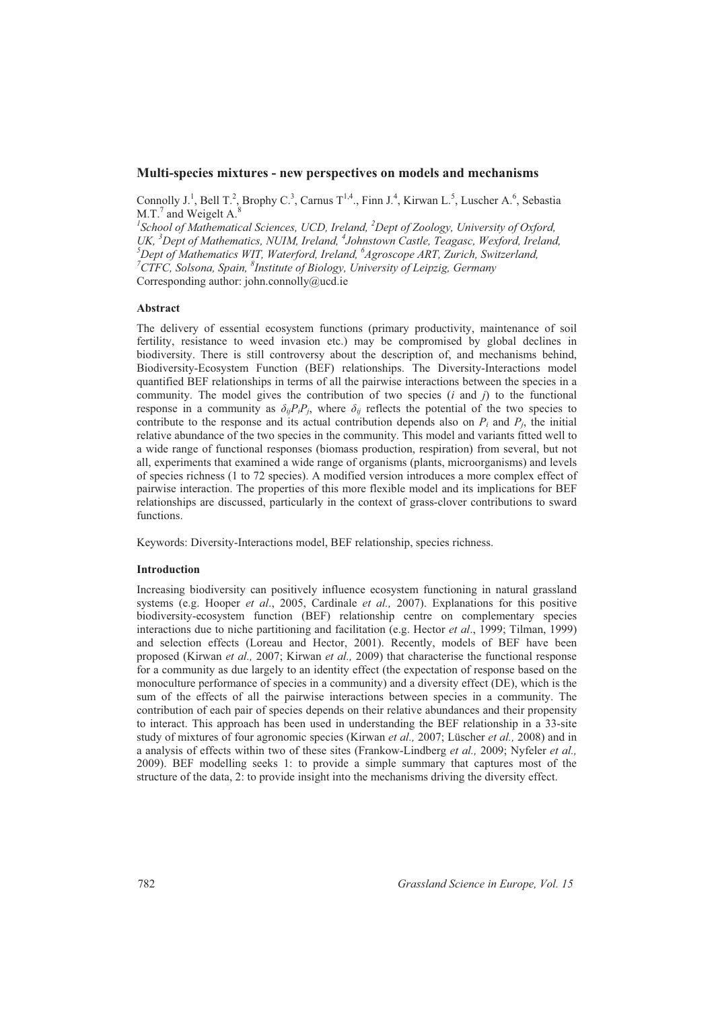# **Multi-species mixtures - new perspectives on models and mechanisms**

Connolly J.<sup>1</sup>, Bell T.<sup>2</sup>, Brophy C.<sup>3</sup>, Carnus T<sup>1,4</sup>., Finn J.<sup>4</sup>, Kirwan L.<sup>5</sup>, Luscher A.<sup>6</sup>, Sebastia M.T.<sup>7</sup> and Weigelt  $A$ .<sup>8</sup>

*1 School of Mathematical Sciences, UCD, Ireland, <sup>2</sup>Dept of Zoology, University of Oxford, UK, <sup>3</sup>Dept of Mathematics, NUIM, Ireland, <sup>4</sup> Johnstown Castle, Teagasc, Wexford, Ireland, <sup>5</sup>Dept of Mathematics WIT, Waterford, Ireland, <sup>6</sup> Agroscope ART, Zurich, Switzerland, <sup>7</sup>CTFC, Solsona, Spain, <sup>8</sup> Institute of Biology, University of Leipzig, Germany*  Corresponding author: john.connolly@ucd.ie

## **Abstract**

The delivery of essential ecosystem functions (primary productivity, maintenance of soil fertility, resistance to weed invasion etc.) may be compromised by global declines in biodiversity. There is still controversy about the description of, and mechanisms behind, Biodiversity-Ecosystem Function (BEF) relationships. The Diversity-Interactions model quantified BEF relationships in terms of all the pairwise interactions between the species in a community. The model gives the contribution of two species  $(i \text{ and } j)$  to the functional response in a community as  $\delta_{ij}P_iP_j$ , where  $\delta_{ij}$  reflects the potential of the two species to contribute to the response and its actual contribution depends also on  $P_i$  and  $P_i$ , the initial relative abundance of the two species in the community. This model and variants fitted well to a wide range of functional responses (biomass production, respiration) from several, but not all, experiments that examined a wide range of organisms (plants, microorganisms) and levels of species richness (1 to 72 species). A modified version introduces a more complex effect of pairwise interaction. The properties of this more flexible model and its implications for BEF relationships are discussed, particularly in the context of grass-clover contributions to sward functions.

Keywords: Diversity-Interactions model, BEF relationship, species richness.

## **Introduction**

Increasing biodiversity can positively influence ecosystem functioning in natural grassland systems (e.g. Hooper *et al*., 2005, Cardinale *et al.,* 2007). Explanations for this positive biodiversity-ecosystem function (BEF) relationship centre on complementary species interactions due to niche partitioning and facilitation (e.g. Hector *et al*., 1999; Tilman, 1999) and selection effects (Loreau and Hector, 2001). Recently, models of BEF have been proposed (Kirwan *et al.,* 2007; Kirwan *et al.,* 2009) that characterise the functional response for a community as due largely to an identity effect (the expectation of response based on the monoculture performance of species in a community) and a diversity effect (DE), which is the sum of the effects of all the pairwise interactions between species in a community. The contribution of each pair of species depends on their relative abundances and their propensity to interact. This approach has been used in understanding the BEF relationship in a 33-site study of mixtures of four agronomic species (Kirwan *et al.,* 2007; Lüscher *et al.,* 2008) and in a analysis of effects within two of these sites (Frankow-Lindberg *et al.,* 2009; Nyfeler *et al.,* 2009). BEF modelling seeks 1: to provide a simple summary that captures most of the structure of the data, 2: to provide insight into the mechanisms driving the diversity effect.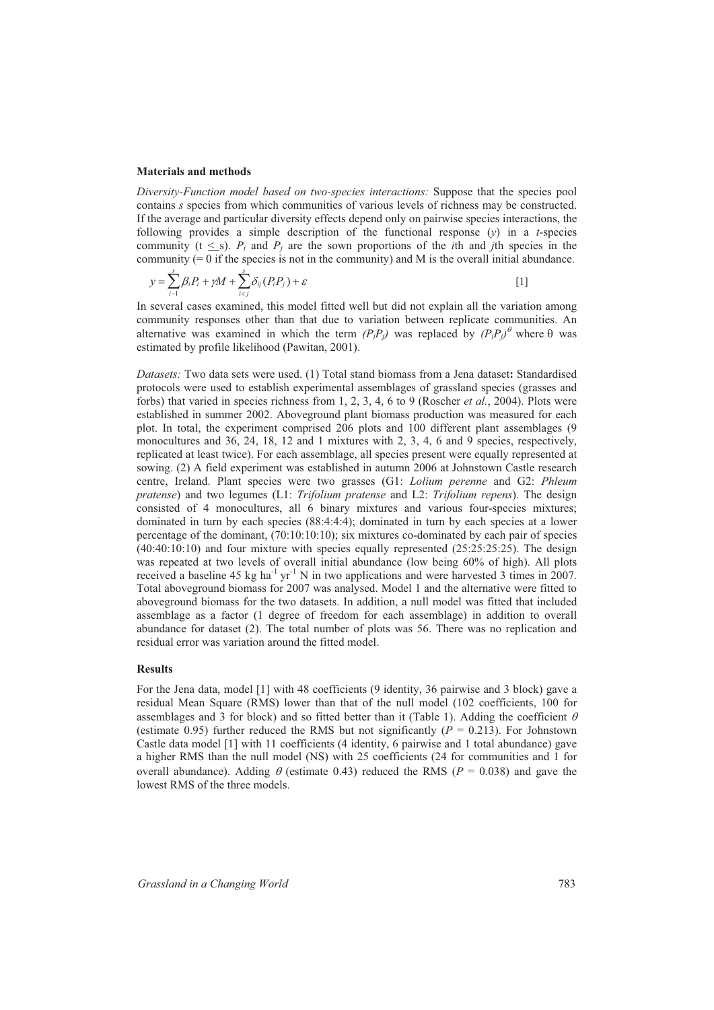### **Materials and methods**

*Diversity-Function model based on two-species interactions:* Suppose that the species pool contains *s* species from which communities of various levels of richness may be constructed. If the average and particular diversity effects depend only on pairwise species interactions, the following provides a simple description of the functional response  $(y)$  in a *t*-species community ( $t \leq s$ ).  $P_i$  and  $P_j$  are the sown proportions of the *i*th and *j*th species in the community  $(= 0$  if the species is not in the community) and M is the overall initial abundance.

$$
y = \sum_{i=1}^{s} \beta_i P_i + \gamma M + \sum_{i < j}^{s} \delta_{ij} (P_i P_j) + \varepsilon \tag{1}
$$

In several cases examined, this model fitted well but did not explain all the variation among community responses other than that due to variation between replicate communities. An alternative was examined in which the term  $(P_i P_j)$  was replaced by  $(P_i P_j)$ <sup>*θ*</sup> where  $\theta$  was estimated by profile likelihood (Pawitan, 2001).

*Datasets:* Two data sets were used. (1) Total stand biomass from a Jena dataset**:** Standardised protocols were used to establish experimental assemblages of grassland species (grasses and forbs) that varied in species richness from 1, 2, 3, 4, 6 to 9 (Roscher *et al.*, 2004). Plots were established in summer 2002. Aboveground plant biomass production was measured for each plot. In total, the experiment comprised 206 plots and 100 different plant assemblages (9 monocultures and 36, 24, 18, 12 and 1 mixtures with 2, 3, 4, 6 and 9 species, respectively, replicated at least twice). For each assemblage, all species present were equally represented at sowing. (2) A field experiment was established in autumn 2006 at Johnstown Castle research centre, Ireland. Plant species were two grasses (G1: *Lolium perenne* and G2: *Phleum pratense*) and two legumes (L1: *Trifolium pratense* and L2: *Trifolium repens*). The design consisted of 4 monocultures, all 6 binary mixtures and various four-species mixtures; dominated in turn by each species (88:4:4:4); dominated in turn by each species at a lower percentage of the dominant, (70:10:10:10); six mixtures co-dominated by each pair of species  $(40:40:10:10)$  and four mixture with species equally represented  $(25:25:25:25)$ . The design was repeated at two levels of overall initial abundance (low being 60% of high). All plots received a baseline 45 kg ha<sup>-1</sup> yr<sup>-1</sup> N in two applications and were harvested 3 times in 2007. Total aboveground biomass for 2007 was analysed. Model 1 and the alternative were fitted to aboveground biomass for the two datasets. In addition, a null model was fitted that included assemblage as a factor (1 degree of freedom for each assemblage) in addition to overall abundance for dataset (2). The total number of plots was 56. There was no replication and residual error was variation around the fitted model.

## **Results**

For the Jena data, model [1] with 48 coefficients (9 identity, 36 pairwise and 3 block) gave a residual Mean Square (RMS) lower than that of the null model (102 coefficients, 100 for assemblages and 3 for block) and so fitted better than it (Table 1). Adding the coefficient  $\theta$ (estimate 0.95) further reduced the RMS but not significantly  $(P = 0.213)$ . For Johnstown Castle data model [1] with 11 coefficients (4 identity, 6 pairwise and 1 total abundance) gave a higher RMS than the null model (NS) with 25 coefficients (24 for communities and 1 for overall abundance). Adding  $\theta$  (estimate 0.43) reduced the RMS ( $P = 0.038$ ) and gave the lowest RMS of the three models.